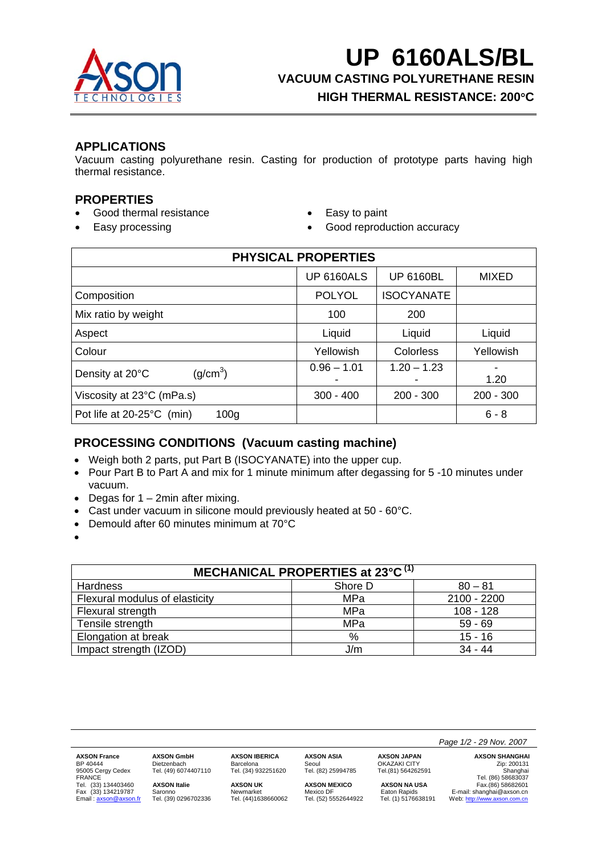

**UP 6160ALS/BL VACUUM CASTING POLYURETHANE RESIN HIGH THERMAL RESISTANCE: 200**°**C**

# **APPLICATIONS**

Vacuum casting polyurethane resin. Casting for production of prototype parts having high thermal resistance.

## **PROPERTIES**

- Good thermal resistance Easy to paint
- 
- 
- Easy processing  **Good reproduction accuracy**

| <b>PHYSICAL PROPERTIES</b>                    |                   |                    |             |
|-----------------------------------------------|-------------------|--------------------|-------------|
|                                               | <b>UP 6160ALS</b> | <b>UP 6160BL</b>   | MIXED       |
| Composition                                   | <b>POLYOL</b>     | <b>ISOCYANATE</b>  |             |
| Mix ratio by weight                           | 100               | 200                |             |
| Aspect                                        | Liquid            | Liquid             | Liquid      |
| Colour                                        | Yellowish         | Colorless          | Yellowish   |
| (g/cm <sup>3</sup> )<br>Density at 20°C       | $0.96 - 1.01$     | $1.20 - 1.23$<br>۰ | 1.20        |
| Viscosity at 23°C (mPa.s)                     | $300 - 400$       | $200 - 300$        | $200 - 300$ |
| Pot life at 20-25°C (min)<br>100 <sub>g</sub> |                   |                    | $6 - 8$     |

# **PROCESSING CONDITIONS (Vacuum casting machine)**

- Weigh both 2 parts, put Part B (ISOCYANATE) into the upper cup.
- Pour Part B to Part A and mix for 1 minute minimum after degassing for 5 -10 minutes under vacuum.
- Degas for  $1 2$ min after mixing.
- Cast under vacuum in silicone mould previously heated at 50 60°C.
- Demould after 60 minutes minimum at 70°C
- •

| MECHANICAL PROPERTIES at 23°C <sup>(1)</sup> |         |             |  |
|----------------------------------------------|---------|-------------|--|
| <b>Hardness</b>                              | Shore D | $80 - 81$   |  |
| Flexural modulus of elasticity               | MPa     | 2100 - 2200 |  |
| Flexural strength                            | MPa     | $108 - 128$ |  |
| Tensile strength                             | MPa     | $59 - 69$   |  |
| Elongation at break                          | $\%$    | $15 - 16$   |  |
| Impact strength (IZOD)                       | J/m     | $34 - 44$   |  |

|                                    |                      |                      |                      |                     | Page 1/2 - 29 Nov. 2007        |
|------------------------------------|----------------------|----------------------|----------------------|---------------------|--------------------------------|
| <b>AXSON France</b>                | <b>AXSON GmbH</b>    | <b>AXSON IBERICA</b> | <b>AXSON ASIA</b>    | <b>AXSON JAPAN</b>  | <b>AXSON SHANGHAI</b>          |
| BP 40444                           | Dietzenbach          | Barcelona            | Seoul                | <b>OKAZAKI CITY</b> | Zip: 200131                    |
| 95005 Cergy Cedex<br><b>FRANCE</b> | Tel. (49) 6074407110 | Tel. (34) 932251620  | Tel. (82) 25994785   | Tel.(81) 564262591  | Shanghai<br>Tel. (86) 58683037 |
| Tel. (33) 134403460                | <b>AXSON Italie</b>  | <b>AXSON UK</b>      | <b>AXSON MEXICO</b>  | <b>AXSON NA USA</b> | Fax.(86) 58682601              |
| Fax (33) 134219787                 | Saronno              | Newmarket            | Mexico DF            | Eaton Rapids        | E-mail: shanghai@axson.cn      |
| Email: axson@axson.fr              | Tel. (39) 0296702336 | Tel. (44)1638660062  | Tel. (52) 5552644922 | Tel. (1) 5176638191 | Web: http://www.axson.com.cn   |